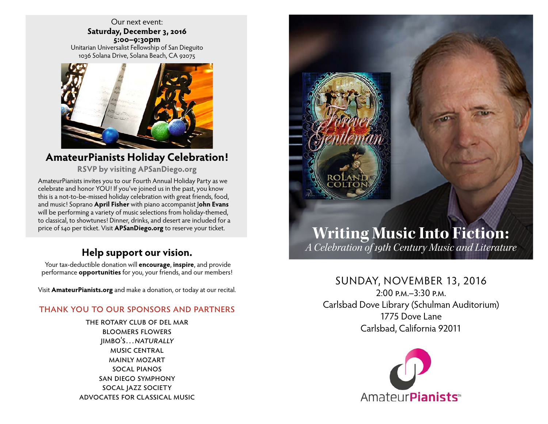Our next event: **Saturday, December 3, 2016 5:00–9:30pm** Unitarian Universalist Fellowship of San Dieguito 1036 Solana Drive, Solana Beach, CA 92075



### **AmateurPianists Holiday Celebration!**

**RSVP by visiting APSanDiego.org**

AmateurPianists invites you to our Fourth Annual Holiday Party as we celebrate and honor YOU! If you've joined us in the past, you know this is a not-to-be-missed holiday celebration with great friends, food, and music! Soprano **April Fisher** with piano accompanist J**ohn Evans** will be performing a variety of music selections from holiday-themed, to classical, to showtunes! Dinner, drinks, and desert are included for a

## **Help support our vision.**

Your tax-deductible donation will **encourage**, **inspire**, and provide performance **opportunities** for you, your friends, and our members!

Visit **AmateurPianists.org** and make a donation, or today at our recital.

#### thank you to our sponsors and partners

the rotary club of del mar bloomers flowers jimbo's…naturally music central mainly mozart socal pianos san diego symphony socal jazz society advocates for classical music



# price of s40 per ticket. Visit **APSanDiego.org** to reserve your ticket. **Writing Music Into Fiction:** *A Celebration of 19th Century Music and Literature*

### SUNDAY, NOVEMBER 13, 2016

 $2:00 \text{ p.M} - 3:30 \text{ p.M}$ Carlsbad Dove Library (Schulman Auditorium) 1775 Dove Lane Carlsbad, California 92011